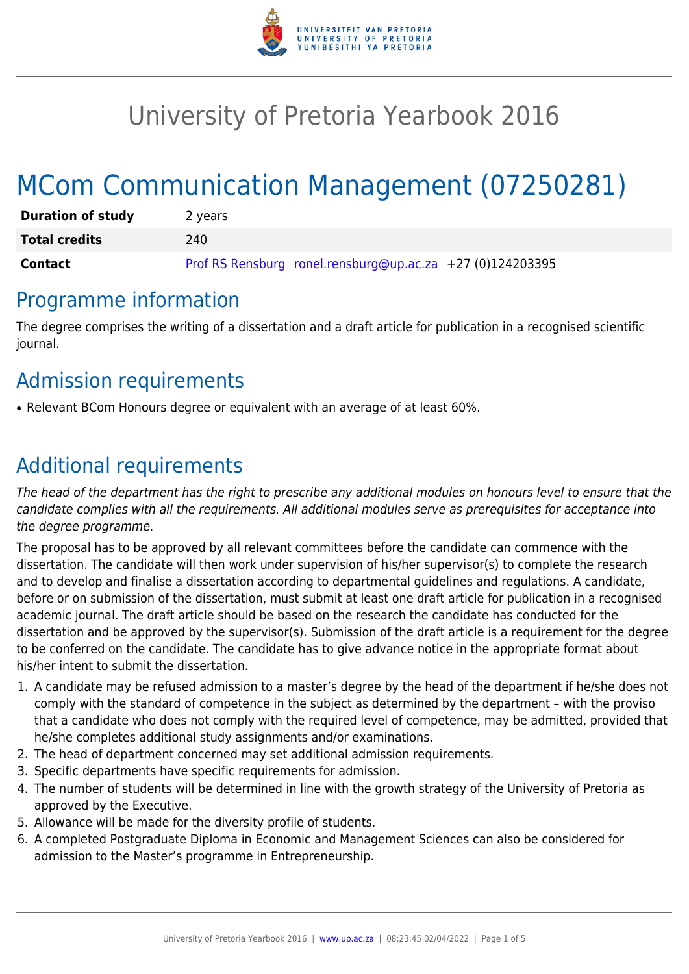

# University of Pretoria Yearbook 2016

# MCom Communication Management (07250281)

| <b>Duration of study</b> | 2 years                                                   |
|--------------------------|-----------------------------------------------------------|
| <b>Total credits</b>     | 240                                                       |
| Contact                  | Prof RS Rensburg ronel.rensburg@up.ac.za +27 (0)124203395 |

### Programme information

The degree comprises the writing of a dissertation and a draft article for publication in a recognised scientific journal.

## Admission requirements

• Relevant BCom Honours degree or equivalent with an average of at least 60%.

## Additional requirements

The head of the department has the right to prescribe any additional modules on honours level to ensure that the candidate complies with all the requirements. All additional modules serve as prerequisites for acceptance into the degree programme.

The proposal has to be approved by all relevant committees before the candidate can commence with the dissertation. The candidate will then work under supervision of his/her supervisor(s) to complete the research and to develop and finalise a dissertation according to departmental guidelines and regulations. A candidate, before or on submission of the dissertation, must submit at least one draft article for publication in a recognised academic journal. The draft article should be based on the research the candidate has conducted for the dissertation and be approved by the supervisor(s). Submission of the draft article is a requirement for the degree to be conferred on the candidate. The candidate has to give advance notice in the appropriate format about his/her intent to submit the dissertation.

- 1. A candidate may be refused admission to a master's degree by the head of the department if he/she does not comply with the standard of competence in the subject as determined by the department – with the proviso that a candidate who does not comply with the required level of competence, may be admitted, provided that he/she completes additional study assignments and/or examinations.
- 2. The head of department concerned may set additional admission requirements.
- 3. Specific departments have specific requirements for admission.
- 4. The number of students will be determined in line with the growth strategy of the University of Pretoria as approved by the Executive.
- 5. Allowance will be made for the diversity profile of students.
- 6. A completed Postgraduate Diploma in Economic and Management Sciences can also be considered for admission to the Master's programme in Entrepreneurship.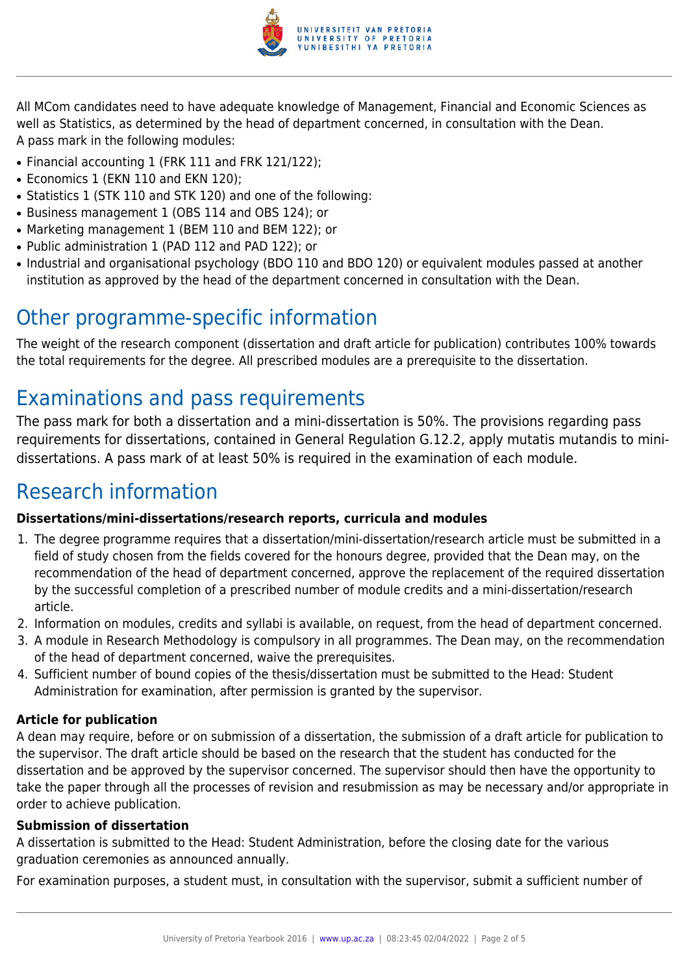

All MCom candidates need to have adequate knowledge of Management, Financial and Economic Sciences as well as Statistics, as determined by the head of department concerned, in consultation with the Dean. A pass mark in the following modules:

- Financial accounting 1 (FRK 111 and FRK 121/122);
- Economics 1 (EKN 110 and EKN 120):
- Statistics 1 (STK 110 and STK 120) and one of the following:
- Business management 1 (OBS 114 and OBS 124); or
- Marketing management 1 (BEM 110 and BEM 122); or
- Public administration 1 (PAD 112 and PAD 122); or
- Industrial and organisational psychology (BDO 110 and BDO 120) or equivalent modules passed at another institution as approved by the head of the department concerned in consultation with the Dean.

### Other programme-specific information

The weight of the research component (dissertation and draft article for publication) contributes 100% towards the total requirements for the degree. All prescribed modules are a prerequisite to the dissertation.

## Examinations and pass requirements

The pass mark for both a dissertation and a mini-dissertation is 50%. The provisions regarding pass requirements for dissertations, contained in General Regulation G.12.2, apply mutatis mutandis to minidissertations. A pass mark of at least 50% is required in the examination of each module.

### Research information

#### **Dissertations/mini-dissertations/research reports, curricula and modules**

- 1. The degree programme requires that a dissertation/mini-dissertation/research article must be submitted in a field of study chosen from the fields covered for the honours degree, provided that the Dean may, on the recommendation of the head of department concerned, approve the replacement of the required dissertation by the successful completion of a prescribed number of module credits and a mini-dissertation/research article.
- 2. Information on modules, credits and syllabi is available, on request, from the head of department concerned.
- 3. A module in Research Methodology is compulsory in all programmes. The Dean may, on the recommendation of the head of department concerned, waive the prerequisites.
- 4. Sufficient number of bound copies of the thesis/dissertation must be submitted to the Head: Student Administration for examination, after permission is granted by the supervisor.

#### **Article for publication**

A dean may require, before or on submission of a dissertation, the submission of a draft article for publication to the supervisor. The draft article should be based on the research that the student has conducted for the dissertation and be approved by the supervisor concerned. The supervisor should then have the opportunity to take the paper through all the processes of revision and resubmission as may be necessary and/or appropriate in order to achieve publication.

#### **Submission of dissertation**

A dissertation is submitted to the Head: Student Administration, before the closing date for the various graduation ceremonies as announced annually.

For examination purposes, a student must, in consultation with the supervisor, submit a sufficient number of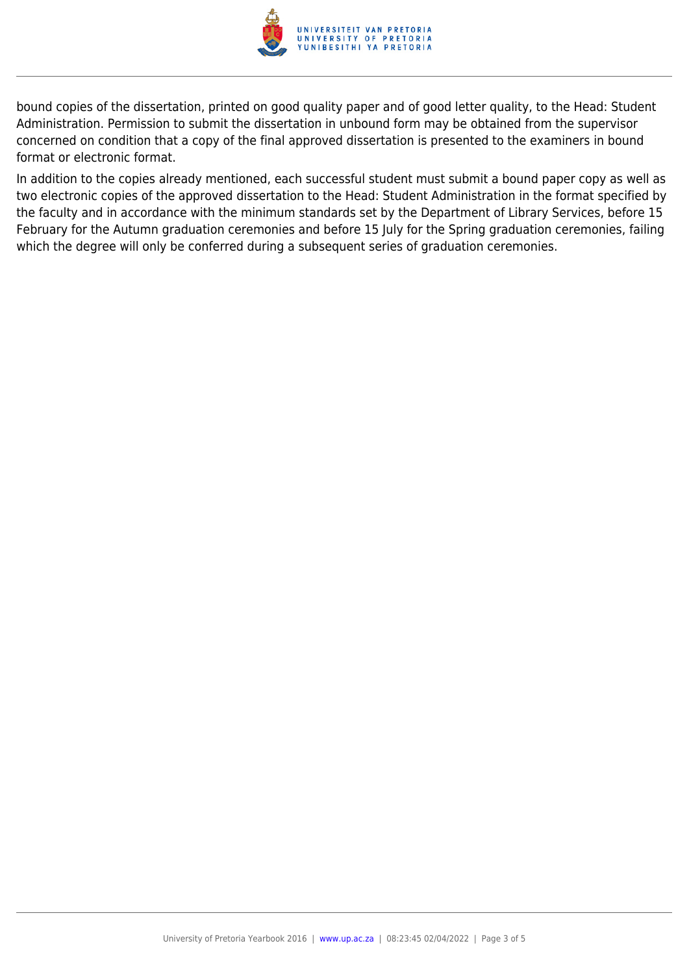

bound copies of the dissertation, printed on good quality paper and of good letter quality, to the Head: Student Administration. Permission to submit the dissertation in unbound form may be obtained from the supervisor concerned on condition that a copy of the final approved dissertation is presented to the examiners in bound format or electronic format.

In addition to the copies already mentioned, each successful student must submit a bound paper copy as well as two electronic copies of the approved dissertation to the Head: Student Administration in the format specified by the faculty and in accordance with the minimum standards set by the Department of Library Services, before 15 February for the Autumn graduation ceremonies and before 15 July for the Spring graduation ceremonies, failing which the degree will only be conferred during a subsequent series of graduation ceremonies.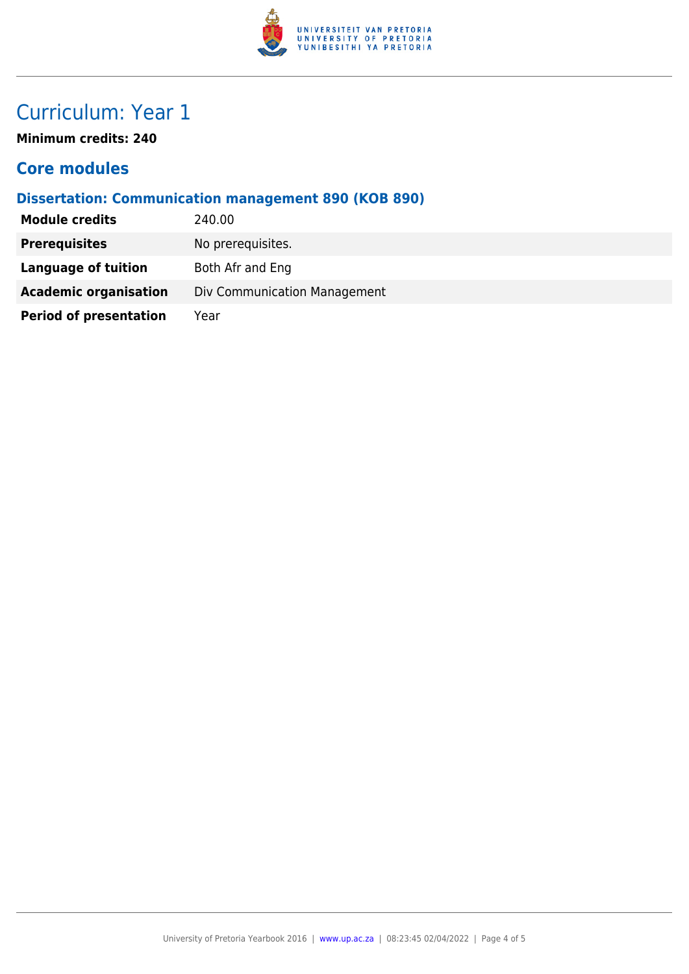

### Curriculum: Year 1

**Minimum credits: 240**

### **Core modules**

#### **Dissertation: Communication management 890 (KOB 890)**

| <b>Module credits</b>         | 240.00                       |
|-------------------------------|------------------------------|
| <b>Prerequisites</b>          | No prerequisites.            |
| Language of tuition           | Both Afr and Eng             |
| <b>Academic organisation</b>  | Div Communication Management |
| <b>Period of presentation</b> | Year                         |